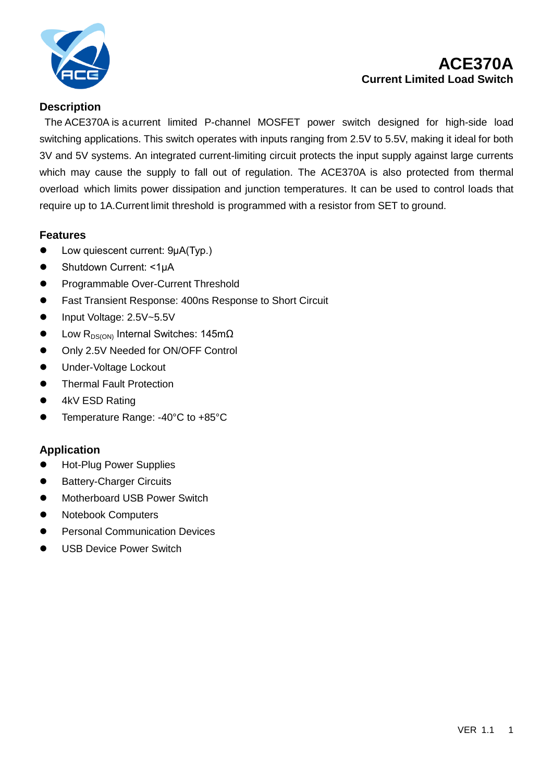

# **ACE370A Current Limited Load Switch**

### **Description**

The ACE370A is acurrent limited P-channel MOSFET power switch designed for high-side load switching applications. This switch operates with inputs ranging from 2.5V to 5.5V, making it ideal for both 3V and 5V systems. An integrated current-limiting circuit protects the input supply against large currents which may cause the supply to fall out of regulation. The ACE370A is also protected from thermal overload which limits power dissipation and junction temperatures. It can be used to control loads that require up to 1A.Current limit threshold is programmed with a resistor from SET to ground.

#### **Features**

- Low quiescent current: 9μA(Typ.)
- Shutdown Current: <1μA
- **•** Programmable Over-Current Threshold
- Fast Transient Response: 400ns Response to Short Circuit
- Input Voltage: 2.5V~5.5V
- $\bullet$  Low R<sub>DS(ON)</sub> Internal Switches: 145m $\Omega$
- Only 2.5V Needed for ON/OFF Control
- Under-Voltage Lockout
- **•** Thermal Fault Protection
- 4kV ESD Rating
- Temperature Range: -40°C to +85°C

### **Application**

- Hot-Plug Power Supplies
- **•** Battery-Charger Circuits
- **•** Motherboard USB Power Switch
- Notebook Computers
- Personal Communication Devices
- USB Device Power Switch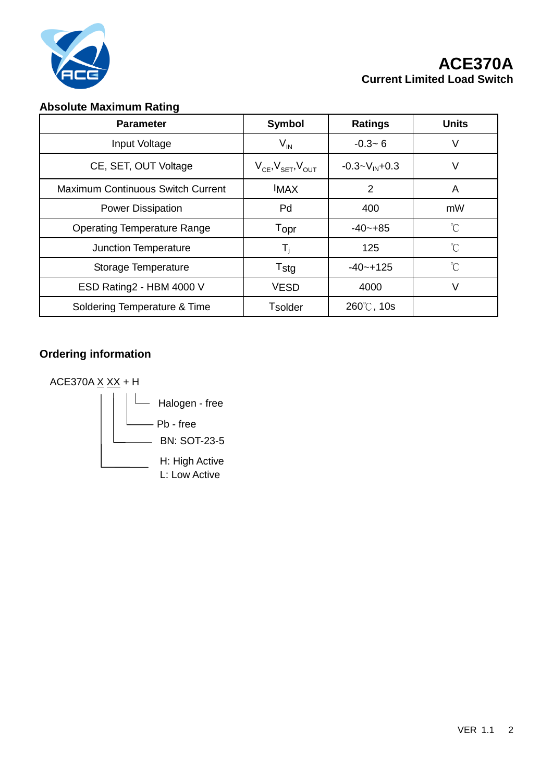

# **ACE370A Current Limited Load Switch**

### **Absolute Maximum Rating**

| <b>Parameter</b>                         | <b>Symbol</b>                    | <b>Ratings</b>        | <b>Units</b>         |
|------------------------------------------|----------------------------------|-----------------------|----------------------|
| Input Voltage                            | $\mathsf{V}_{\mathsf{IN}}$       | $-0.3 - 6$            | V                    |
| CE, SET, OUT Voltage                     | $V_{CE}$ , $V_{SET}$ , $V_{OUT}$ | $-0.3 - V_{IN} + 0.3$ | V                    |
| <b>Maximum Continuous Switch Current</b> | <b>IMAX</b>                      | 2                     | A                    |
| <b>Power Dissipation</b>                 | Pd                               | 400                   | mW                   |
| <b>Operating Temperature Range</b>       | Topr                             | $-40 - +85$           | $\rm ^{\circ}C$      |
| <b>Junction Temperature</b>              | T,                               | 125                   | $\mathrm{C}^{\circ}$ |
| Storage Temperature                      | $\mathsf{T}_{\mathsf{stg}}$      | $-40 - +125$          | $\mathrm{C}^{\circ}$ |
| ESD Rating2 - HBM 4000 V                 | <b>VESD</b>                      | 4000                  | V                    |
| Soldering Temperature & Time             | Tsolder                          | $260^{\circ}$ C, 10s  |                      |

## **Ordering information**